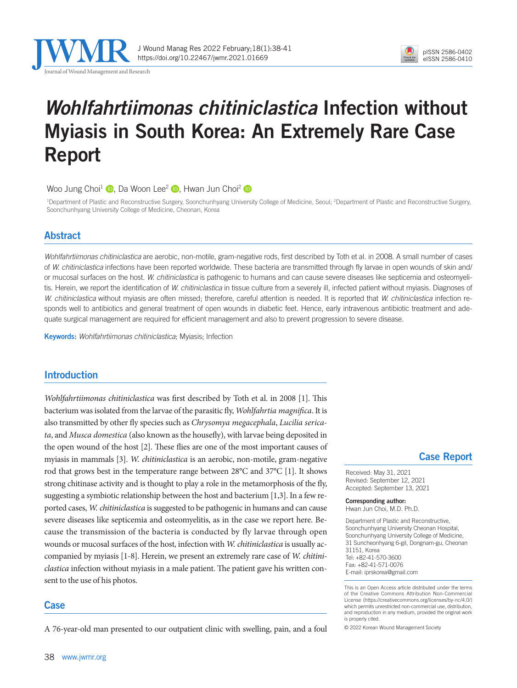

J Wound Manag Res 2022 February;18(1):38-41 https://doi.org/10.22467/jwmr.2021.01669



# *Wohlfahrtiimonas chitiniclastica* Infection without Myiasis in South Korea: An Extremely Rare Case Report

Woo Jung Choi<sup>1</sup> **D**[,](https://orcid.org/0000-0002-6969-5643) Da Woon Lee<sup>2</sup> **D**, Hwan Jun Choi<sup>2</sup> **D** 

<sup>1</sup>Department of Plastic and Reconstructive Surgery, Soonchunhyang University College of Medicine, Seoul; <sup>2</sup>Department of Plastic and Reconstructive Surgery, Soonchunhyang University College of Medicine, Cheonan, Korea

## Abstract

*Wohlfahrtiimonas chitiniclastica* are aerobic, non-motile, gram-negative rods, first described by Toth et al. in 2008. A small number of cases of *W. chitiniclastica* infections have been reported worldwide. These bacteria are transmitted through fly larvae in open wounds of skin and/ or mucosal surfaces on the host. *W. chitiniclastica* is pathogenic to humans and can cause severe diseases like septicemia and osteomyelitis. Herein, we report the identification of *W. chitiniclastica* in tissue culture from a severely ill, infected patient without myiasis. Diagnoses of *W. chitiniclastica* without myiasis are often missed; therefore, careful attention is needed. It is reported that *W. chitiniclastica* infection responds well to antibiotics and general treatment of open wounds in diabetic feet. Hence, early intravenous antibiotic treatment and adequate surgical management are required for efficient management and also to prevent progression to severe disease.

Keywords: *Wohlfahrtiimonas chitiniclastica*; Myiasis; Infection

# Introduction

*Wohlfahrtiimonas chitiniclastica* was first described by Toth et al. in 2008 [1]. This bacterium was isolated from the larvae of the parasitic fly, *Wohlfahrtia magnifica*. It is also transmitted by other fly species such as *Chrysomya megacephala*, *Lucilia sericata*, and *Musca domestica* (also known as the housefly), with larvae being deposited in the open wound of the host [2]. These flies are one of the most important causes of myiasis in mammals [3]. *W. chitiniclastica* is an aerobic, non-motile, gram-negative rod that grows best in the temperature range between 28°C and 37°C [1]. It shows strong chitinase activity and is thought to play a role in the metamorphosis of the fly, suggesting a symbiotic relationship between the host and bacterium [1,3]. In a few reported cases, *W. chitiniclastica* is suggested to be pathogenic in humans and can cause severe diseases like septicemia and osteomyelitis, as in the case we report here. Because the transmission of the bacteria is conducted by fly larvae through open wounds or mucosal surfaces of the host, infection with *W. chitiniclastica* is usually accompanied by myiasis [1-8]. Herein, we present an extremely rare case of *W. chitiniclastica* infection without myiasis in a male patient. The patient gave his written consent to the use of his photos.

## Case

A 76-year-old man presented to our outpatient clinic with swelling, pain, and a foul

## Case Report

Received: May 31, 2021 Revised: September 12, 2021 Accepted: September 13, 2021

Corresponding author: Hwan Jun Choi, M.D. Ph.D.

Department of Plastic and Reconstructive, Soonchunhyang University Cheonan Hospital, Soonchunhyang University College of Medicine, 31 Suncheonhyang 6-gil, Dongnam-gu, Cheonan 31151, Korea Tel: +82-41-570-3600 Fax: +82-41-571-0076 E-mail: iprskorea@gmail.com

This is an Open Access article distributed under the terms of the Creative Commons Attribution Non-Commercial License (https://creativecommons.org/licenses/by-nc/4.0/) which permits unrestricted non-commercial use, distribution, and reproduction in any medium, provided the original work is properly cited.

© 2022 Korean Wound Management Society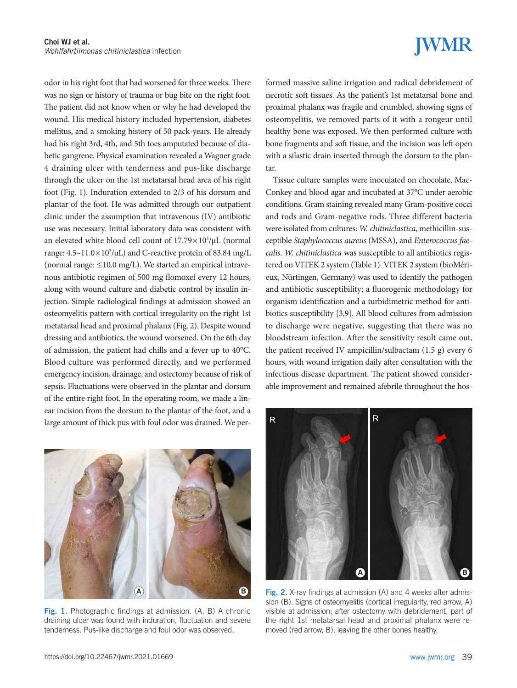odor in his right foot that had worsened for three weeks. There was no sign or history of trauma or bug bite on the right foot. The patient did not know when or why he had developed the wound. His medical history included hypertension, diabetes mellitus, and a smoking history of 50 pack-years. He already had his right 3rd, 4th, and 5th toes amputated because of diabetic gangrene. Physical examination revealed a Wagner grade 4 draining ulcer with tenderness and pus-like discharge through the ulcer on the 1st metatarsal head area of his right foot (Fig. 1). Induration extended to 2/3 of his dorsum and plantar of the foot. He was admitted through our outpatient clinic under the assumption that intravenous (IV) antibiotic use was necessary. Initial laboratory data was consistent with an elevated white blood cell count of  $17.79 \times 10^3/\mu$ L (normal range:  $4.5-11.0 \times 10^3/\mu L$ ) and C-reactive protein of 83.84 mg/L (normal range:  $\leq 10.0$  mg/L). We started an empirical intravenous antibiotic regimen of 500 mg flomoxef every 12 hours, along with wound culture and diabetic control by insulin injection. Simple radiological findings at admission showed an osteomyelitis pattern with cortical irregularity on the right 1st metatarsal head and proximal phalanx (Fig. 2). Despite wound dressing and antibiotics, the wound worsened. On the 6th day of admission, the patient had chills and a fever up to 40°C. Blood culture was performed directly, and we performed emergency incision, drainage, and ostectomy because of risk of sepsis. Fluctuations were observed in the plantar and dorsum of the entire right foot. In the operating room, we made a linear incision from the dorsum to the plantar of the foot, and a large amount of thick pus with foul odor was drained. We per-



Fig. 1. Photographic findings at admission. (A, B) A chronic draining ulcer was found with induration, fluctuation and severe tenderness. Pus-like discharge and foul odor was observed.

# **WMR**

formed massive saline irrigation and radical debridement of necrotic soft tissues. As the patient's 1st metatarsal bone and proximal phalanx was fragile and crumbled, showing signs of osteomyelitis, we removed parts of it with a rongeur until healthy bone was exposed. We then performed culture with bone fragments and soft tissue, and the incision was left open with a silastic drain inserted through the dorsum to the plantar.

Tissue culture samples were inoculated on chocolate, Mac-Conkey and blood agar and incubated at 37°C under aerobic conditions. Gram staining revealed many Gram-positive cocci and rods and Gram-negative rods. Three different bacteria were isolated from cultures: *W. chitiniclastica*, methicillin-susceptible *Staphylococcus aureus* (MSSA), and *Enterococcus faecalis*. *W. chitiniclastica* was susceptible to all antibiotics registered on VITEK 2 system (Table 1). VITEK 2 system (bioMérieux, Nürtingen, Germany) was used to identify the pathogen and antibiotic susceptibility; a fluorogenic methodology for organism identification and a turbidimetric method for antibiotics susceptibility [3,9]. All blood cultures from admission to discharge were negative, suggesting that there was no bloodstream infection. After the sensitivity result came out, the patient received IV ampicillin/sulbactam (1.5 g) every 6 hours, with wound irrigation daily after consultation with the infectious disease department. The patient showed considerable improvement and remained afebrile throughout the hos-



Fig. 2. X-ray findings at admission (A) and 4 weeks after admission (B). Signs of osteomyelitis (cortical irregularity, red arrow, A) visible at admission; after ostectomy with debridement, part of the right 1st metatarsal head and proximal phalanx were removed (red arrow, B), leaving the other bones healthy.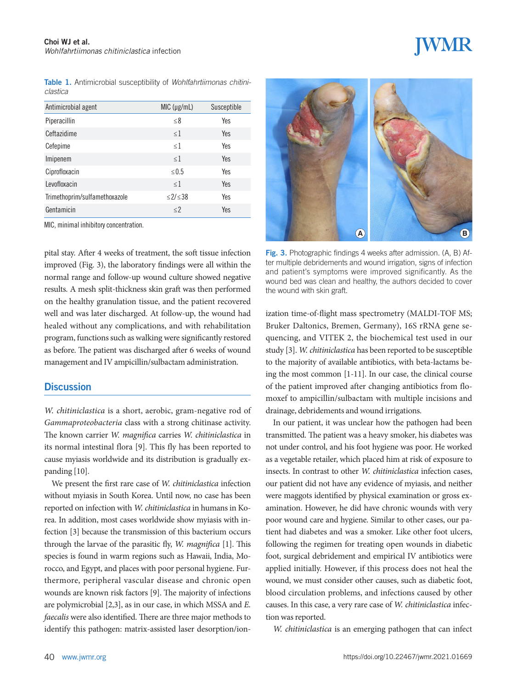Table 1. Antimicrobial susceptibility of *Wohlfahrtiimonas chitiniclastica*

| Antimicrobial agent           | MIC (µg/mL) | Susceptible |
|-------------------------------|-------------|-------------|
| Piperacillin                  | $\leq 8$    | Yes         |
| Ceftazidime                   | $\leq$ 1    | Yes         |
| Cefepime                      | <1          | Yes         |
| Imipenem                      | <1          | Yes         |
| Ciprofloxacin                 | < 0.5       | Yes         |
| Levofloxacin                  | <1          | Yes         |
| Trimethoprim/sulfamethoxazole | <2/38       | Yes         |
| Gentamicin                    | $\leq$ 2    | Yes         |

MIC, minimal inhibitory concentration.

pital stay. After 4 weeks of treatment, the soft tissue infection improved (Fig. 3), the laboratory findings were all within the normal range and follow-up wound culture showed negative results. A mesh split-thickness skin graft was then performed on the healthy granulation tissue, and the patient recovered well and was later discharged. At follow-up, the wound had healed without any complications, and with rehabilitation program, functions such as walking were significantly restored as before. The patient was discharged after 6 weeks of wound management and IV ampicillin/sulbactam administration.

### **Discussion**

*W. chitiniclastica* is a short, aerobic, gram-negative rod of *Gammaproteobacteria* class with a strong chitinase activity. The known carrier *W. magnifica* carries *W. chitiniclastica* in its normal intestinal flora [9]. This fly has been reported to cause myiasis worldwide and its distribution is gradually expanding [10].

We present the first rare case of *W. chitiniclastica* infection without myiasis in South Korea. Until now, no case has been reported on infection with *W. chitiniclastica* in humans in Korea. In addition, most cases worldwide show myiasis with infection [3] because the transmission of this bacterium occurs through the larvae of the parasitic fly, *W. magnifica* [1]. This species is found in warm regions such as Hawaii, India, Morocco, and Egypt, and places with poor personal hygiene. Furthermore, peripheral vascular disease and chronic open wounds are known risk factors [9]. The majority of infections are polymicrobial [2,3], as in our case, in which MSSA and *E. faecalis* were also identified. There are three major methods to identify this pathogen: matrix-assisted laser desorption/ion-



Fig. 3. Photographic findings 4 weeks after admission. (A, B) After multiple debridements and wound irrigation, signs of infection and patient's symptoms were improved significantly. As the wound bed was clean and healthy, the authors decided to cover the wound with skin graft.

ization time-of-flight mass spectrometry (MALDI-TOF MS; Bruker Daltonics, Bremen, Germany), 16S rRNA gene sequencing, and VITEK 2, the biochemical test used in our study [3]. *W. chitiniclastica* has been reported to be susceptible to the majority of available antibiotics, with beta-lactams being the most common [1-11]. In our case, the clinical course of the patient improved after changing antibiotics from flomoxef to ampicillin/sulbactam with multiple incisions and drainage, debridements and wound irrigations.

In our patient, it was unclear how the pathogen had been transmitted. The patient was a heavy smoker, his diabetes was not under control, and his foot hygiene was poor. He worked as a vegetable retailer, which placed him at risk of exposure to insects. In contrast to other *W. chitiniclastica* infection cases, our patient did not have any evidence of myiasis, and neither were maggots identified by physical examination or gross examination. However, he did have chronic wounds with very poor wound care and hygiene. Similar to other cases, our patient had diabetes and was a smoker. Like other foot ulcers, following the regimen for treating open wounds in diabetic foot, surgical debridement and empirical IV antibiotics were applied initially. However, if this process does not heal the wound, we must consider other causes, such as diabetic foot, blood circulation problems, and infections caused by other causes. In this case, a very rare case of *W. chitiniclastica* infection was reported.

*W. chitiniclastica* is an emerging pathogen that can infect